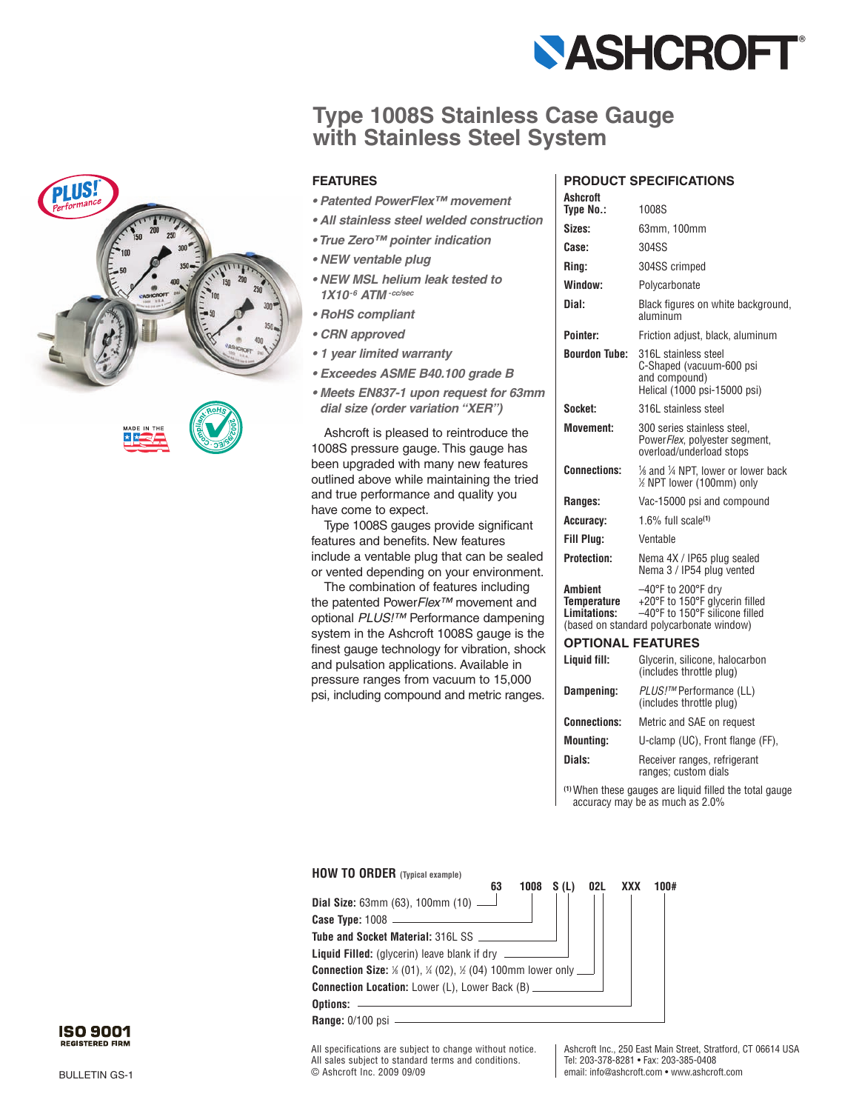

# **Type 1008S Stainless Case Gauge with Stainless Steel System**



- *Patented PowerFlex™ movement*
- *All stainless steel welded construction*
- *True Zero™ pointer indication*
- *NEW ventable plug*
- *NEW MSL helium leak tested to 1X10-6 ATM -cc/sec*
- *RoHS compliant*
- *CRN approved*
- *1 year limited warranty*
- *Exceedes ASME B40.100 grade B*
- *Meets EN837-1 upon request for 63mm dial size (order variation "XER")*

Ashcroft is pleased to reintroduce the 1008S pressure gauge. This gauge has been upgraded with many new features outlined above while maintaining the tried and true performance and quality you have come to expect.

Type 1008S gauges provide significant features and benefits. New features include a ventable plug that can be sealed or vented depending on your environment.

The combination of features including the patented Power*Flex™* movement and optional *PLUS!™* Performance dampening system in the Ashcroft 1008S gauge is the finest gauge technology for vibration, shock and pulsation applications. Available in pressure ranges from vacuum to 15,000 psi, including compound and metric ranges.

### **PRODUCT SPECIFICATIONS**

| Ashcroft                               |                                                                                                                                              |
|----------------------------------------|----------------------------------------------------------------------------------------------------------------------------------------------|
| Tvpe No.:                              | 1008S                                                                                                                                        |
| Sizes:                                 | 63mm. 100mm                                                                                                                                  |
| Case:                                  | 304SS                                                                                                                                        |
| Rina:                                  | 304SS crimped                                                                                                                                |
| Window:                                | Polycarbonate                                                                                                                                |
| Dial:                                  | Black figures on white background,<br>aluminum                                                                                               |
| Pointer:                               | Friction adjust, black, aluminum                                                                                                             |
| <b>Bourdon Tube:</b>                   | 316L stainless steel<br>C-Shaped (vacuum-600 psi<br>and compound)<br>Helical (1000 psi-15000 psi)                                            |
| Socket:                                | 316L stainless steel                                                                                                                         |
| Movement:                              | 300 series stainless steel,<br>PowerFlex, polyester segment,<br>overload/underload stops                                                     |
| <b>Connections:</b>                    | 1/8 and 1/4 NPT, lower or lower back<br>1/2 NPT lower (100mm) only                                                                           |
| Ranges:                                | Vac-15000 psi and compound                                                                                                                   |
| Accuracy:                              | $1.6\%$ full scale(1)                                                                                                                        |
| Fill Plug:                             | Ventable                                                                                                                                     |
| <b>Protection:</b>                     | Nema 4X / IP65 plug sealed<br>Nema 3 / IP54 plug vented                                                                                      |
| Ambient<br>Temperature<br>Limitations: | $-40^{\circ}$ F to 200°F dry<br>+20°F to 150°F glycerin filled<br>-40°F to 150°F silicone filled<br>(based on standard polycarbonate window) |
| <b>OPTIONAL FEATURES</b>               |                                                                                                                                              |
| Liquid fill:                           | Glycerin, silicone, halocarbon<br>(includes throttle plug)                                                                                   |
| <b>Dampening:</b>                      | PLUS!™ Performance (LL)                                                                                                                      |

| Dampening:          | <i>PLUS!™</i> Performance (LL)<br>(includes throttle plug) |
|---------------------|------------------------------------------------------------|
| <b>Connections:</b> | Metric and SAE on request                                  |
| <b>Mounting:</b>    | U-clamp (UC), Front flange (FF),                           |
| Dials:              | Receiver ranges, refrigerant<br>ranges; custom dials       |

**(1)** When these gauges are liquid filled the total gauge accuracy may be as much as 2.0%



All specifications are subject to change without notice. All sales subject to standard terms and conditions. © Ashcroft Inc. 2009 09/09

Ashcroft Inc., 250 East Main Street, Stratford, CT 06614 USA Tel: 203-378-8281 • Fax: 203-385-0408 email: info@ashcroft.com • www.ashcroft.com